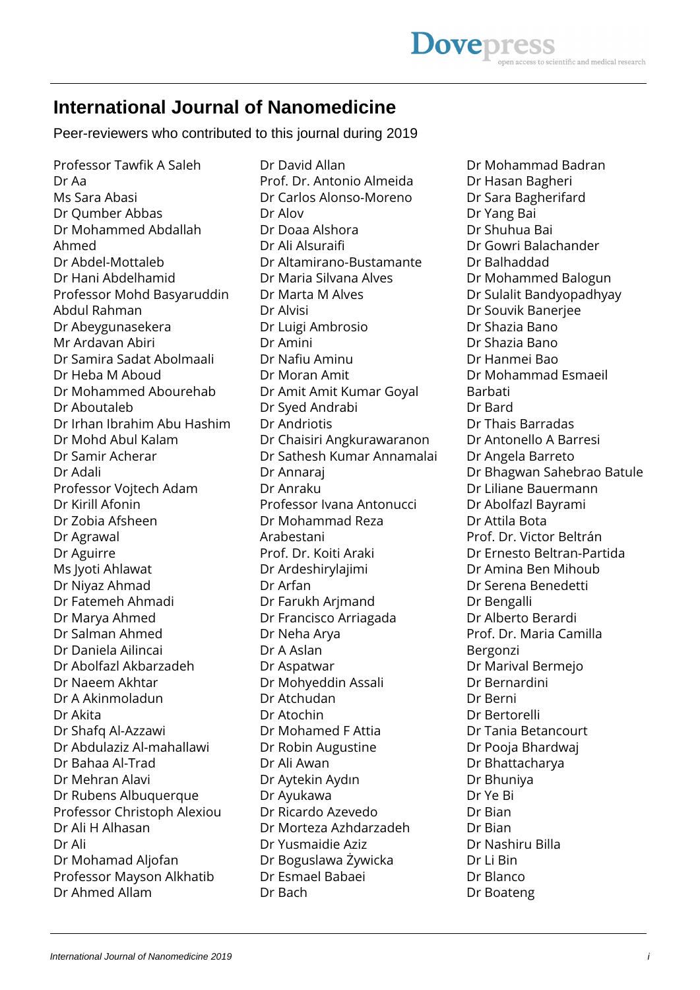# **International Journal of Nanomedicine**

Peer-reviewers who contributed to this journal during 2019

Professor Tawfik A Saleh Dr Aa Ms Sara Abasi Dr Qumber Abbas Dr Mohammed Abdallah Ahmed Dr Abdel-Mottaleb Dr Hani Abdelhamid Professor Mohd Basyaruddin Abdul Rahman Dr Abeygunasekera Mr Ardavan Abiri Dr Samira Sadat Abolmaali Dr Heba M Aboud Dr Mohammed Abourehab Dr Aboutaleb Dr Irhan Ibrahim Abu Hashim Dr Mohd Abul Kalam Dr Samir Acherar Dr Adali Professor Vojtech Adam Dr Kirill Afonin Dr Zobia Afsheen Dr Agrawal Dr Aguirre Ms Jyoti Ahlawat Dr Niyaz Ahmad Dr Fatemeh Ahmadi Dr Marya Ahmed Dr Salman Ahmed Dr Daniela Ailincai Dr Abolfazl Akbarzadeh Dr Naeem Akhtar Dr A Akinmoladun Dr Akita Dr Shafq Al-Azzawi Dr Abdulaziz Al-mahallawi Dr Bahaa Al-Trad Dr Mehran Alavi Dr Rubens Albuquerque Professor Christoph Alexiou Dr Ali H Alhasan Dr Ali Dr Mohamad Aljofan Professor Mayson Alkhatib Dr Ahmed Allam

Dr David Allan Prof. Dr. Antonio Almeida Dr Carlos Alonso-Moreno Dr Alov Dr Doaa Alshora Dr Ali Alsuraifi Dr Altamirano-Bustamante Dr Maria Silvana Alves Dr Marta M Alves Dr Alvisi Dr Luigi Ambrosio Dr Amini Dr Nafiu Aminu Dr Moran Amit Dr Amit Amit Kumar Goyal Dr Syed Andrabi Dr Andriotis Dr Chaisiri Angkurawaranon Dr Sathesh Kumar Annamalai Dr Annaraj Dr Anraku Professor Ivana Antonucci Dr Mohammad Reza Arabestani Prof. Dr. Koiti Araki Dr Ardeshirylajimi Dr Arfan Dr Farukh Arjmand Dr Francisco Arriagada Dr Neha Arya Dr A Aslan Dr Aspatwar Dr Mohyeddin Assali Dr Atchudan Dr Atochin Dr Mohamed F Attia Dr Robin Augustine Dr Ali Awan Dr Aytekin Aydın Dr Ayukawa Dr Ricardo Azevedo Dr Morteza Azhdarzadeh Dr Yusmaidie Aziz Dr Boguslawa Żywicka Dr Esmael Babaei Dr Bach

Dr Mohammad Badran Dr Hasan Bagheri Dr Sara Bagherifard Dr Yang Bai Dr Shuhua Bai Dr Gowri Balachander Dr Balhaddad Dr Mohammed Balogun Dr Sulalit Bandyopadhyay Dr Souvik Banerjee Dr Shazia Bano Dr Shazia Bano Dr Hanmei Bao Dr Mohammad Esmaeil Barbati Dr Bard Dr Thais Barradas Dr Antonello A Barresi Dr Angela Barreto Dr Bhagwan Sahebrao Batule Dr Liliane Bauermann Dr Abolfazl Bayrami Dr Attila Bota Prof. Dr. Victor Beltrán Dr Ernesto Beltran-Partida Dr Amina Ben Mihoub Dr Serena Benedetti Dr Bengalli Dr Alberto Berardi Prof. Dr. Maria Camilla Bergonzi Dr Marival Bermejo Dr Bernardini Dr Berni Dr Bertorelli Dr Tania Betancourt Dr Pooja Bhardwaj Dr Bhattacharya Dr Bhuniya Dr Ye Bi Dr Bian Dr Bian Dr Nashiru Billa Dr Li Bin Dr Blanco Dr Boateng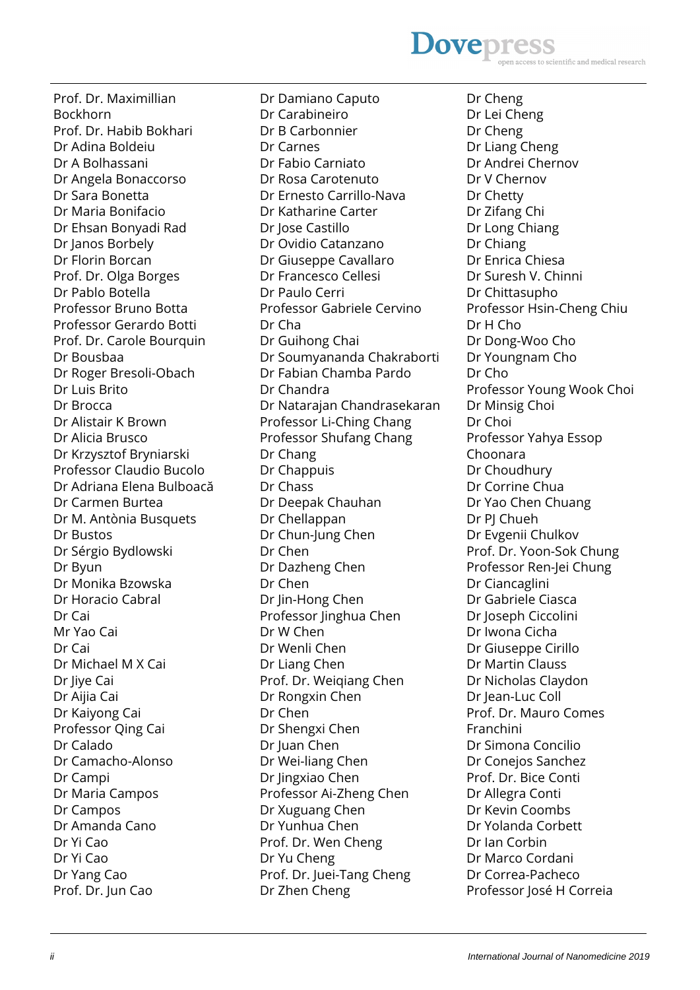# **Dovepress** access to scientific and medical research

Prof. Dr. Maximillian Bockhorn Prof. Dr. Habib Bokhari Dr Adina Boldeiu Dr A Bolhassani Dr Angela Bonaccorso Dr Sara Bonetta Dr Maria Bonifacio Dr Ehsan Bonyadi Rad Dr Janos Borbely Dr Florin Borcan Prof. Dr. Olga Borges Dr Pablo Botella Professor Bruno Botta Professor Gerardo Botti Prof. Dr. Carole Bourquin Dr Bousbaa Dr Roger Bresoli-Obach Dr Luis Brito Dr Brocca Dr Alistair K Brown Dr Alicia Brusco Dr Krzysztof Bryniarski Professor Claudio Bucolo Dr Adriana Elena Bulboacă Dr Carmen Burtea Dr M. Antònia Busquets Dr Bustos Dr Sérgio Bydlowski Dr Byun Dr Monika Bzowska Dr Horacio Cabral Dr Cai Mr Yao Cai Dr Cai Dr Michael M X Cai Dr Jiye Cai Dr Aijia Cai Dr Kaiyong Cai Professor Qing Cai Dr Calado Dr Camacho-Alonso Dr Campi Dr Maria Campos Dr Campos Dr Amanda Cano Dr Yi Cao Dr Yi Cao Dr Yang Cao Prof. Dr. Jun Cao

Dr Damiano Caputo Dr Carabineiro Dr B Carbonnier Dr Carnes Dr Fabio Carniato Dr Rosa Carotenuto Dr Ernesto Carrillo-Nava Dr Katharine Carter Dr Jose Castillo Dr Ovidio Catanzano Dr Giuseppe Cavallaro Dr Francesco Cellesi Dr Paulo Cerri Professor Gabriele Cervino Dr Cha Dr Guihong Chai Dr Soumyananda Chakraborti Dr Fabian Chamba Pardo Dr Chandra Dr Natarajan Chandrasekaran Professor Li-Ching Chang Professor Shufang Chang Dr Chang Dr Chappuis Dr Chass Dr Deepak Chauhan Dr Chellappan Dr Chun-Jung Chen Dr Chen Dr Dazheng Chen Dr Chen Dr Jin-Hong Chen Professor Jinghua Chen Dr W Chen Dr Wenli Chen Dr Liang Chen Prof. Dr. Weiqiang Chen Dr Rongxin Chen Dr Chen Dr Shengxi Chen Dr Juan Chen Dr Wei-liang Chen Dr Jingxiao Chen Professor Ai-Zheng Chen Dr Xuguang Chen Dr Yunhua Chen Prof. Dr. Wen Cheng Dr Yu Cheng Prof. Dr. Juei-Tang Cheng Dr Zhen Cheng

Dr Cheng Dr Lei Cheng Dr Cheng Dr Liang Cheng Dr Andrei Chernov Dr V Chernov Dr Chetty Dr Zifang Chi Dr Long Chiang Dr Chiang Dr Enrica Chiesa Dr Suresh V. Chinni Dr Chittasupho Professor Hsin-Cheng Chiu Dr H Cho Dr Dong-Woo Cho Dr Youngnam Cho Dr Cho Professor Young Wook Choi Dr Minsig Choi Dr Choi Professor Yahya Essop Choonara Dr Choudhury Dr Corrine Chua Dr Yao Chen Chuang Dr PJ Chueh Dr Evgenii Chulkov Prof. Dr. Yoon-Sok Chung Professor Ren-Jei Chung Dr Ciancaglini Dr Gabriele Ciasca Dr Joseph Ciccolini Dr Iwona Cicha Dr Giuseppe Cirillo Dr Martin Clauss Dr Nicholas Claydon Dr Jean-Luc Coll Prof. Dr. Mauro Comes Franchini Dr Simona Concilio Dr Conejos Sanchez Prof. Dr. Bice Conti Dr Allegra Conti Dr Kevin Coombs Dr Yolanda Corbett Dr Ian Corbin Dr Marco Cordani Dr Correa-Pacheco Professor José H Correia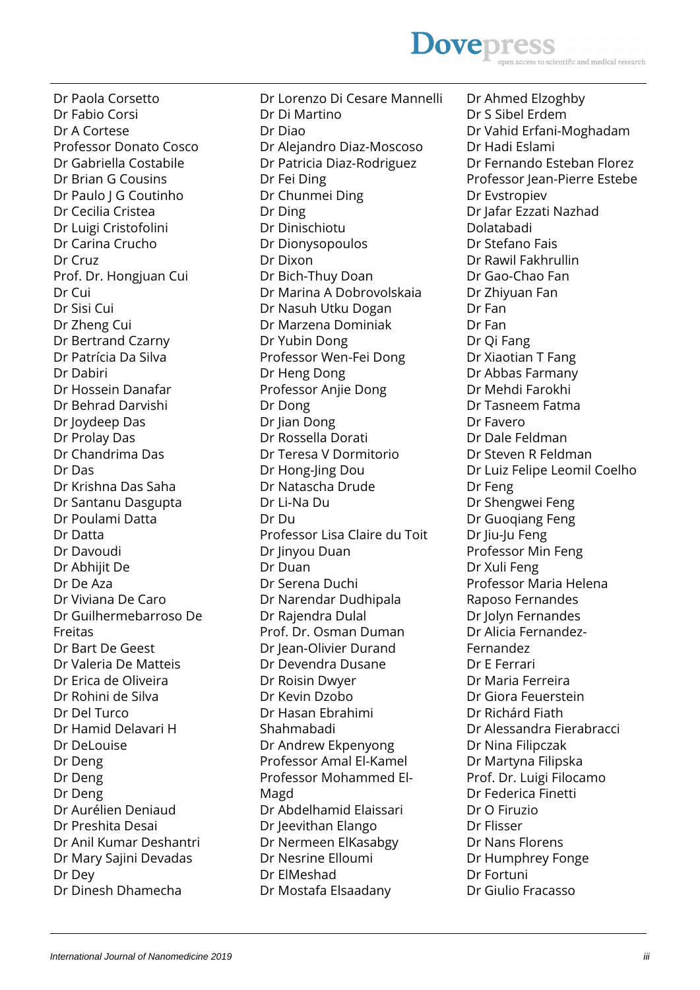# **Dovepress** ss to scientific and medical research

Dr Paola Corsetto Dr Fabio Corsi Dr A Cortese Professor Donato Cosco Dr Gabriella Costabile Dr Brian G Cousins Dr Paulo | G Coutinho Dr Cecilia Cristea Dr Luigi Cristofolini Dr Carina Crucho Dr Cruz Prof. Dr. Hongjuan Cui Dr Cui Dr Sisi Cui Dr Zheng Cui Dr Bertrand Czarny Dr Patrícia Da Silva Dr Dabiri Dr Hossein Danafar Dr Behrad Darvishi Dr Joydeep Das Dr Prolay Das Dr Chandrima Das Dr Das Dr Krishna Das Saha Dr Santanu Dasgupta Dr Poulami Datta Dr Datta Dr Davoudi Dr Abhijit De Dr De Aza Dr Viviana De Caro Dr Guilhermebarroso De Freitas Dr Bart De Geest Dr Valeria De Matteis Dr Erica de Oliveira Dr Rohini de Silva Dr Del Turco Dr Hamid Delavari H Dr DeLouise Dr Deng Dr Deng Dr Deng Dr Aurélien Deniaud Dr Preshita Desai Dr Anil Kumar Deshantri Dr Mary Sajini Devadas Dr Dey Dr Dinesh Dhamecha

Dr Lorenzo Di Cesare Mannelli Dr Di Martino Dr Diao Dr Alejandro Diaz-Moscoso Dr Patricia Diaz-Rodriguez Dr Fei Ding Dr Chunmei Ding Dr Ding Dr Dinischiotu Dr Dionysopoulos Dr Dixon Dr Bich-Thuy Doan Dr Marina A Dobrovolskaia Dr Nasuh Utku Dogan Dr Marzena Dominiak Dr Yubin Dong Professor Wen-Fei Dong Dr Heng Dong Professor Anjie Dong Dr Dong Dr Jian Dong Dr Rossella Dorati Dr Teresa V Dormitorio Dr Hong-Jing Dou Dr Natascha Drude Dr Li-Na Du Dr Du Professor Lisa Claire du Toit Dr Jinyou Duan Dr Duan Dr Serena Duchi Dr Narendar Dudhipala Dr Rajendra Dulal Prof. Dr. Osman Duman Dr Jean-Olivier Durand Dr Devendra Dusane Dr Roisin Dwyer Dr Kevin Dzobo Dr Hasan Ebrahimi Shahmabadi Dr Andrew Ekpenyong Professor Amal El-Kamel Professor Mohammed El-Magd Dr Abdelhamid Elaissari Dr Jeevithan Elango Dr Nermeen ElKasabgy Dr Nesrine Elloumi Dr ElMeshad Dr Mostafa Elsaadany

Dr Ahmed Elzoghby Dr S Sibel Erdem Dr Vahid Erfani-Moghadam Dr Hadi Eslami Dr Fernando Esteban Florez Professor Jean-Pierre Estebe Dr Evstropiev Dr Jafar Ezzati Nazhad Dolatabadi Dr Stefano Fais Dr Rawil Fakhrullin Dr Gao-Chao Fan Dr Zhiyuan Fan Dr Fan Dr Fan Dr Qi Fang Dr Xiaotian T Fang Dr Abbas Farmany Dr Mehdi Farokhi Dr Tasneem Fatma Dr Favero Dr Dale Feldman Dr Steven R Feldman Dr Luiz Felipe Leomil Coelho Dr Feng Dr Shengwei Feng Dr Guoqiang Feng Dr Jiu-Ju Feng Professor Min Feng Dr Xuli Feng Professor Maria Helena Raposo Fernandes Dr Jolyn Fernandes Dr Alicia Fernandez-Fernandez Dr E Ferrari Dr Maria Ferreira Dr Giora Feuerstein Dr Richárd Fiath Dr Alessandra Fierabracci Dr Nina Filipczak Dr Martyna Filipska Prof. Dr. Luigi Filocamo Dr Federica Finetti Dr O Firuzio Dr Flisser Dr Nans Florens Dr Humphrey Fonge Dr Fortuni Dr Giulio Fracasso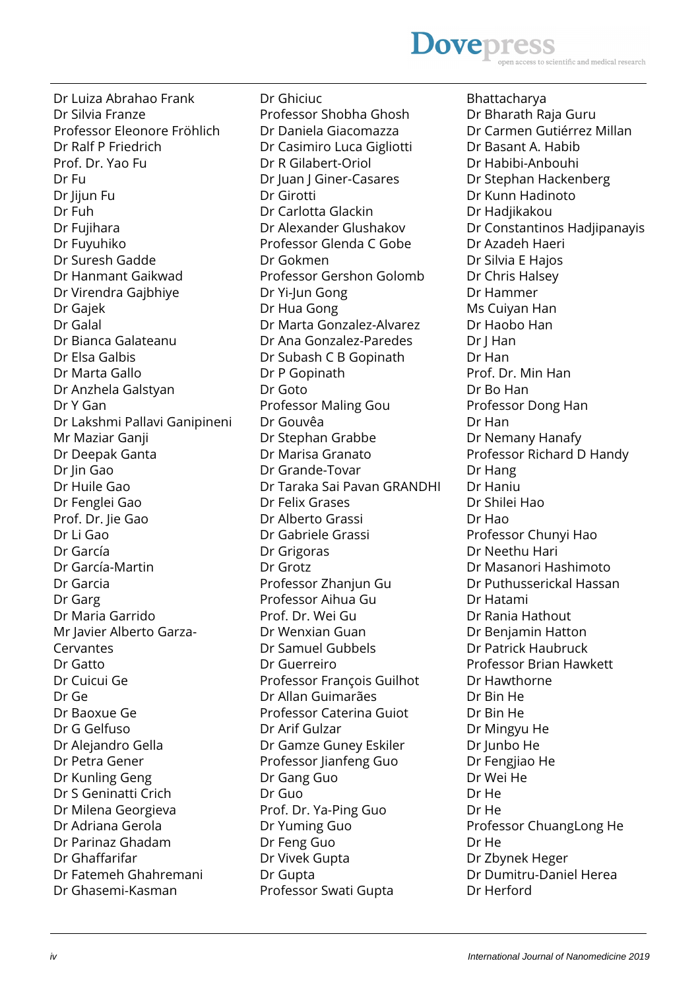# **Dovepres** scientific and medical research

Dr Luiza Abrahao Frank Dr Silvia Franze Professor Eleonore Fröhlich Dr Ralf P Friedrich Prof. Dr. Yao Fu Dr Fu Dr Jijun Fu Dr Fuh Dr Fujihara Dr Fuyuhiko Dr Suresh Gadde Dr Hanmant Gaikwad Dr Virendra Gajbhiye Dr Gajek Dr Galal Dr Bianca Galateanu Dr Elsa Galbis Dr Marta Gallo Dr Anzhela Galstyan Dr Y Gan Dr Lakshmi Pallavi Ganipineni Mr Maziar Ganji Dr Deepak Ganta Dr Jin Gao Dr Huile Gao Dr Fenglei Gao Prof. Dr. Jie Gao Dr Li Gao Dr García Dr García-Martin Dr Garcia Dr Garg Dr Maria Garrido Mr Javier Alberto Garza-Cervantes Dr Gatto Dr Cuicui Ge Dr Ge Dr Baoxue Ge Dr G Gelfuso Dr Alejandro Gella Dr Petra Gener Dr Kunling Geng Dr S Geninatti Crich Dr Milena Georgieva Dr Adriana Gerola Dr Parinaz Ghadam Dr Ghaffarifar Dr Fatemeh Ghahremani Dr Ghasemi-Kasman

Dr Ghiciuc Professor Shobha Ghosh Dr Daniela Giacomazza Dr Casimiro Luca Gigliotti Dr R Gilabert-Oriol Dr Juan J Giner-Casares Dr Girotti Dr Carlotta Glackin Dr Alexander Glushakov Professor Glenda C Gobe Dr Gokmen Professor Gershon Golomb Dr Yi-Jun Gong Dr Hua Gong Dr Marta Gonzalez-Alvarez Dr Ana Gonzalez-Paredes Dr Subash C B Gopinath Dr P Gopinath Dr Goto Professor Maling Gou Dr Gouvêa Dr Stephan Grabbe Dr Marisa Granato Dr Grande-Tovar Dr Taraka Sai Pavan GRANDHI Dr Felix Grases Dr Alberto Grassi Dr Gabriele Grassi Dr Grigoras Dr Grotz Professor Zhanjun Gu Professor Aihua Gu Prof. Dr. Wei Gu Dr Wenxian Guan Dr Samuel Gubbels Dr Guerreiro Professor François Guilhot Dr Allan Guimarães Professor Caterina Guiot Dr Arif Gulzar Dr Gamze Guney Eskiler Professor Jianfeng Guo Dr Gang Guo Dr Guo Prof. Dr. Ya-Ping Guo Dr Yuming Guo Dr Feng Guo Dr Vivek Gupta Dr Gupta Professor Swati Gupta

Bhattacharya Dr Bharath Raja Guru Dr Carmen Gutiérrez Millan Dr Basant A. Habib Dr Habibi-Anbouhi Dr Stephan Hackenberg Dr Kunn Hadinoto Dr Hadjikakou Dr Constantinos Hadjipanayis Dr Azadeh Haeri Dr Silvia E Hajos Dr Chris Halsey Dr Hammer Ms Cuiyan Han Dr Haobo Han Dr J Han Dr Han Prof. Dr. Min Han Dr Bo Han Professor Dong Han Dr Han Dr Nemany Hanafy Professor Richard D Handy Dr Hang Dr Haniu Dr Shilei Hao Dr Hao Professor Chunyi Hao Dr Neethu Hari Dr Masanori Hashimoto Dr Puthusserickal Hassan Dr Hatami Dr Rania Hathout Dr Benjamin Hatton Dr Patrick Haubruck Professor Brian Hawkett Dr Hawthorne Dr Bin He Dr Bin He Dr Mingyu He Dr Junbo He Dr Fengjiao He Dr Wei He Dr He Dr He Professor ChuangLong He Dr He Dr Zbynek Heger Dr Dumitru-Daniel Herea Dr Herford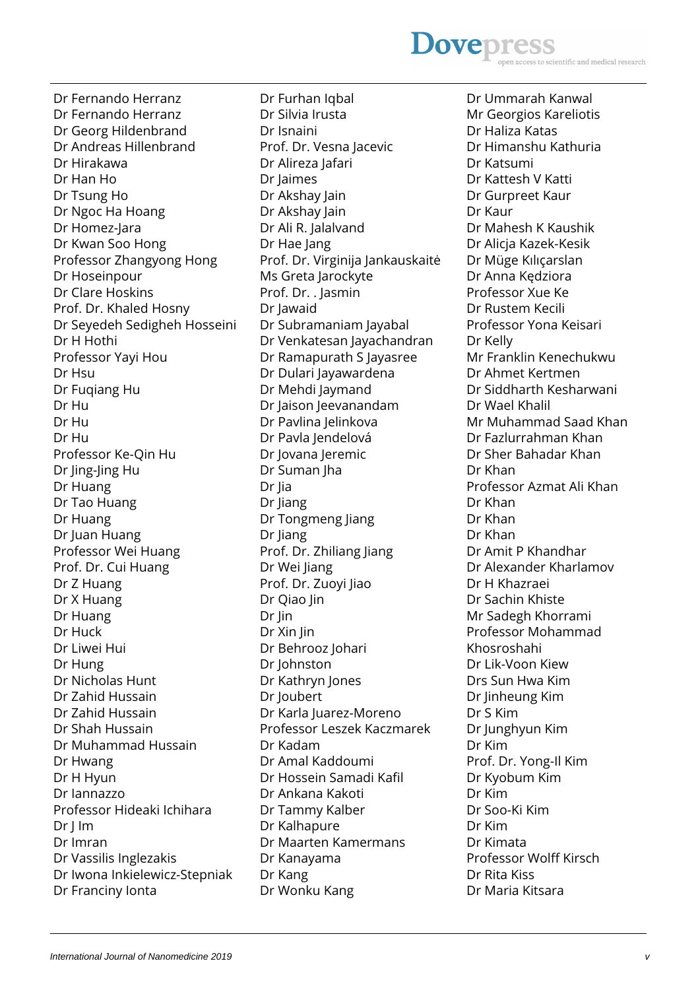### **Dovepres** ntific and medical research

Dr Fernando Herranz Dr Fernando Herranz Dr Georg Hildenbrand Dr Andreas Hillenbrand Dr Hirakawa Dr Han Ho Dr Tsung Ho Dr Ngoc Ha Hoang Dr Homez-Jara Dr Kwan Soo Hong Professor Zhangyong Hong Dr Hoseinpour Dr Clare Hoskins Prof. Dr. Khaled Hosny Dr Seyedeh Sedigheh Hosseini Dr H Hothi Professor Yayi Hou Dr Hsu Dr Fuqiang Hu Dr Hu Dr Hu Dr Hu Professor Ke-Qin Hu Dr Jing-Jing Hu Dr Huang Dr Tao Huang Dr Huang Dr Juan Huang Professor Wei Huang Prof. Dr. Cui Huang Dr Z Huang Dr X Huang Dr Huang Dr Huck Dr Liwei Hui Dr Hung Dr Nicholas Hunt Dr Zahid Hussain Dr Zahid Hussain Dr Shah Hussain Dr Muhammad Hussain Dr Hwang Dr H Hyun Dr Iannazzo Professor Hideaki Ichihara Dr I Im Dr Imran Dr Vassilis Inglezakis Dr Iwona Inkielewicz-Stepniak Dr Franciny Ionta

Dr Furhan Iqbal Dr Silvia Irusta Dr Isnaini Prof. Dr. Vesna Jacevic Dr Alireza Jafari Dr Jaimes Dr Akshay Jain Dr Akshay Jain Dr Ali R. Jalalvand Dr Hae Jang Prof. Dr. Virginija Jankauskaitė Ms Greta Jarockyte Prof. Dr. . Jasmin Dr Jawaid Dr Subramaniam Jayabal Dr Venkatesan Jayachandran Dr Ramapurath S Jayasree Dr Dulari Jayawardena Dr Mehdi Jaymand Dr Jaison Jeevanandam Dr Pavlina Jelinkova Dr Pavla Jendelová Dr Jovana Jeremic Dr Suman Jha Dr Jia Dr Jiang Dr Tongmeng Jiang Dr Jiang Prof. Dr. Zhiliang Jiang Dr Wei Jiang Prof. Dr. Zuoyi Jiao Dr Qiao Jin Dr Jin Dr Xin Jin Dr Behrooz Johari Dr Johnston Dr Kathryn Jones Dr Joubert Dr Karla Juarez-Moreno Professor Leszek Kaczmarek Dr Kadam Dr Amal Kaddoumi Dr Hossein Samadi Kafil Dr Ankana Kakoti Dr Tammy Kalber Dr Kalhapure Dr Maarten Kamermans Dr Kanayama Dr Kang Dr Wonku Kang

Dr Ummarah Kanwal Mr Georgios Kareliotis Dr Haliza Katas Dr Himanshu Kathuria Dr Katsumi Dr Kattesh V Katti Dr Gurpreet Kaur Dr Kaur Dr Mahesh K Kaushik Dr Alicja Kazek-Kesik Dr Müge Kılıçarslan Dr Anna Kędziora Professor Xue Ke Dr Rustem Kecili Professor Yona Keisari Dr Kelly Mr Franklin Kenechukwu Dr Ahmet Kertmen Dr Siddharth Kesharwani Dr Wael Khalil Mr Muhammad Saad Khan Dr Fazlurrahman Khan Dr Sher Bahadar Khan Dr Khan Professor Azmat Ali Khan Dr Khan Dr Khan Dr Khan Dr Amit P Khandhar Dr Alexander Kharlamov Dr H Khazraei Dr Sachin Khiste Mr Sadegh Khorrami Professor Mohammad Khosroshahi Dr Lik-Voon Kiew Drs Sun Hwa Kim Dr Jinheung Kim Dr S Kim Dr Junghyun Kim Dr Kim Prof. Dr. Yong-Il Kim Dr Kyobum Kim Dr Kim Dr Soo-Ki Kim Dr Kim Dr Kimata Professor Wolff Kirsch Dr Rita Kiss Dr Maria Kitsara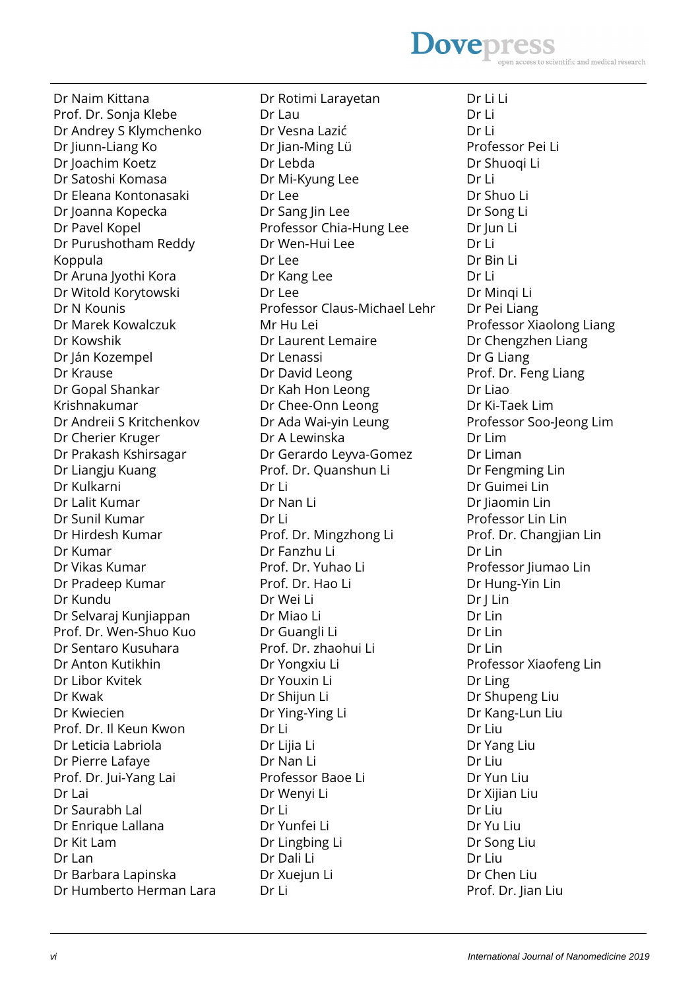# **Dovepres** ss to scientific and medical research

Dr Naim Kittana Prof. Dr. Sonja Klebe Dr Andrey S Klymchenko Dr Jiunn-Liang Ko Dr Joachim Koetz Dr Satoshi Komasa Dr Eleana Kontonasaki Dr Joanna Kopecka Dr Pavel Kopel Dr Purushotham Reddy Koppula Dr Aruna Jyothi Kora Dr Witold Korytowski Dr N Kounis Dr Marek Kowalczuk Dr Kowshik Dr Ján Kozempel Dr Krause Dr Gopal Shankar Krishnakumar Dr Andreii S Kritchenkov Dr Cherier Kruger Dr Prakash Kshirsagar Dr Liangju Kuang Dr Kulkarni Dr Lalit Kumar Dr Sunil Kumar Dr Hirdesh Kumar Dr Kumar Dr Vikas Kumar Dr Pradeep Kumar Dr Kundu Dr Selvaraj Kunjiappan Prof. Dr. Wen-Shuo Kuo Dr Sentaro Kusuhara Dr Anton Kutikhin Dr Libor Kvitek Dr Kwak Dr Kwiecien Prof. Dr. Il Keun Kwon Dr Leticia Labriola Dr Pierre Lafaye Prof. Dr. Jui-Yang Lai Dr Lai Dr Saurabh Lal Dr Enrique Lallana Dr Kit Lam Dr Lan Dr Barbara Lapinska Dr Humberto Herman Lara

Dr Rotimi Larayetan Dr Lau Dr Vesna Lazić Dr Jian-Ming Lü Dr Lebda Dr Mi-Kyung Lee Dr Lee Dr Sang Jin Lee Professor Chia-Hung Lee Dr Wen-Hui Lee Dr Lee Dr Kang Lee Dr Lee Professor Claus-Michael Lehr Mr Hu Lei Dr Laurent Lemaire Dr Lenassi Dr David Leong Dr Kah Hon Leong Dr Chee-Onn Leong Dr Ada Wai-yin Leung Dr A Lewinska Dr Gerardo Leyva-Gomez Prof. Dr. Quanshun Li Dr Li Dr Nan Li Dr Li Prof. Dr. Mingzhong Li Dr Fanzhu Li Prof. Dr. Yuhao Li Prof. Dr. Hao Li Dr Wei Li Dr Miao Li Dr Guangli Li Prof. Dr. zhaohui Li Dr Yongxiu Li Dr Youxin Li Dr Shijun Li Dr Ying-Ying Li Dr Li Dr Lijia Li Dr Nan Li Professor Baoe Li Dr Wenyi Li Dr Li Dr Yunfei Li Dr Lingbing Li Dr Dali Li Dr Xuejun Li Dr Li

Dr Li Li Dr Li Dr Li Professor Pei Li Dr Shuoqi Li Dr Li Dr Shuo Li Dr Song Li Dr Jun Li Dr Li Dr Bin Li Dr Li Dr Minqi Li Dr Pei Liang Professor Xiaolong Liang Dr Chengzhen Liang Dr G Liang Prof. Dr. Feng Liang Dr Liao Dr Ki-Taek Lim Professor Soo-Jeong Lim Dr Lim Dr Liman Dr Fengming Lin Dr Guimei Lin Dr Jiaomin Lin Professor Lin Lin Prof. Dr. Changjian Lin Dr Lin Professor Jiumao Lin Dr Hung-Yin Lin Dr J Lin Dr Lin Dr Lin Dr Lin Professor Xiaofeng Lin Dr Ling Dr Shupeng Liu Dr Kang-Lun Liu Dr Liu Dr Yang Liu Dr Liu Dr Yun Liu Dr Xijian Liu Dr Liu Dr Yu Liu Dr Song Liu Dr Liu Dr Chen Liu Prof. Dr. Jian Liu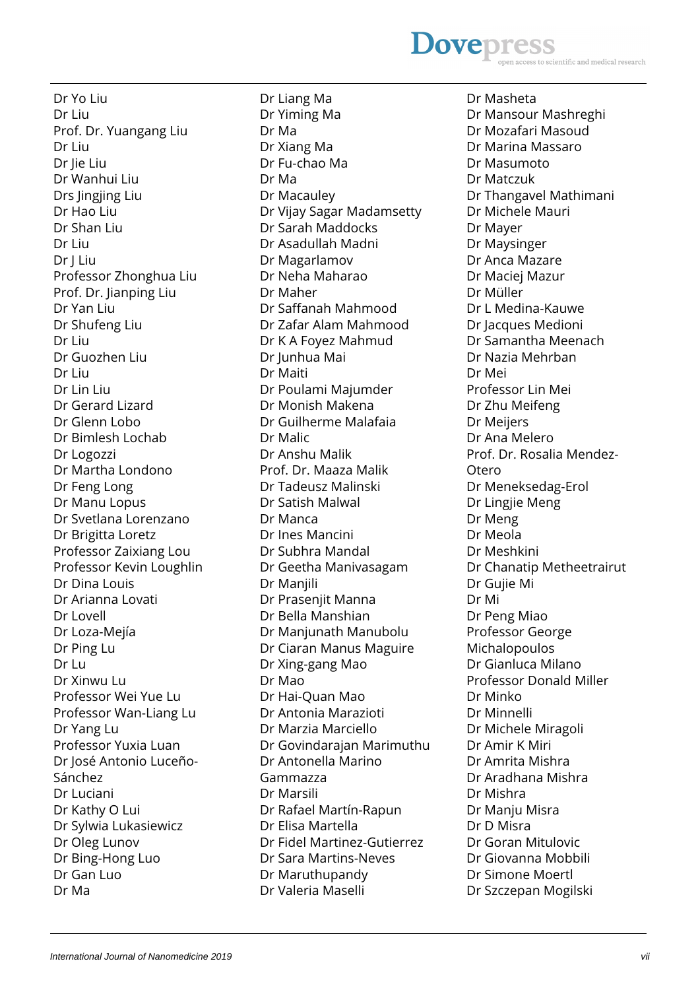### **Dovepres** scientific and medical research

Dr Yo Liu Dr Liu Prof. Dr. Yuangang Liu Dr Liu Dr Jie Liu Dr Wanhui Liu Drs Jingjing Liu Dr Hao Liu Dr Shan Liu Dr Liu Dr J Liu Professor Zhonghua Liu Prof. Dr. Jianping Liu Dr Yan Liu Dr Shufeng Liu Dr Liu Dr Guozhen Liu Dr Liu Dr Lin Liu Dr Gerard Lizard Dr Glenn Lobo Dr Bimlesh Lochab Dr Logozzi Dr Martha Londono Dr Feng Long Dr Manu Lopus Dr Svetlana Lorenzano Dr Brigitta Loretz Professor Zaixiang Lou Professor Kevin Loughlin Dr Dina Louis Dr Arianna Lovati Dr Lovell Dr Loza-Mejía Dr Ping Lu Dr Lu Dr Xinwu Lu Professor Wei Yue Lu Professor Wan-Liang Lu Dr Yang Lu Professor Yuxia Luan Dr José Antonio Luceño-Sánchez Dr Luciani Dr Kathy O Lui Dr Sylwia Lukasiewicz Dr Oleg Lunov Dr Bing-Hong Luo Dr Gan Luo Dr Ma

Dr Liang Ma Dr Yiming Ma Dr Ma Dr Xiang Ma Dr Fu-chao Ma Dr Ma Dr Macauley Dr Vijay Sagar Madamsetty Dr Sarah Maddocks Dr Asadullah Madni Dr Magarlamov Dr Neha Maharao Dr Maher Dr Saffanah Mahmood Dr Zafar Alam Mahmood Dr K A Foyez Mahmud Dr Junhua Mai Dr Maiti Dr Poulami Majumder Dr Monish Makena Dr Guilherme Malafaia Dr Malic Dr Anshu Malik Prof. Dr. Maaza Malik Dr Tadeusz Malinski Dr Satish Malwal Dr Manca Dr Ines Mancini Dr Subhra Mandal Dr Geetha Manivasagam Dr Manjili Dr Prasenjit Manna Dr Bella Manshian Dr Manjunath Manubolu Dr Ciaran Manus Maguire Dr Xing-gang Mao Dr Mao Dr Hai-Quan Mao Dr Antonia Marazioti Dr Marzia Marciello Dr Govindarajan Marimuthu Dr Antonella Marino Gammazza Dr Marsili Dr Rafael Martín-Rapun Dr Elisa Martella Dr Fidel Martinez-Gutierrez Dr Sara Martins-Neves Dr Maruthupandy Dr Valeria Maselli

Dr Masheta Dr Mansour Mashreghi Dr Mozafari Masoud Dr Marina Massaro Dr Masumoto Dr Matczuk Dr Thangavel Mathimani Dr Michele Mauri Dr Mayer Dr Maysinger Dr Anca Mazare Dr Maciej Mazur Dr Müller Dr L Medina-Kauwe Dr Jacques Medioni Dr Samantha Meenach Dr Nazia Mehrban Dr Mei Professor Lin Mei Dr Zhu Meifeng Dr Meijers Dr Ana Melero Prof. Dr. Rosalia Mendez-Otero Dr Meneksedag-Erol Dr Lingjie Meng Dr Meng Dr Meola Dr Meshkini Dr Chanatip Metheetrairut Dr Gujie Mi Dr Mi Dr Peng Miao Professor George Michalopoulos Dr Gianluca Milano Professor Donald Miller Dr Minko Dr Minnelli Dr Michele Miragoli Dr Amir K Miri Dr Amrita Mishra Dr Aradhana Mishra Dr Mishra Dr Manju Misra Dr D Misra Dr Goran Mitulovic Dr Giovanna Mobbili Dr Simone Moertl Dr Szczepan Mogilski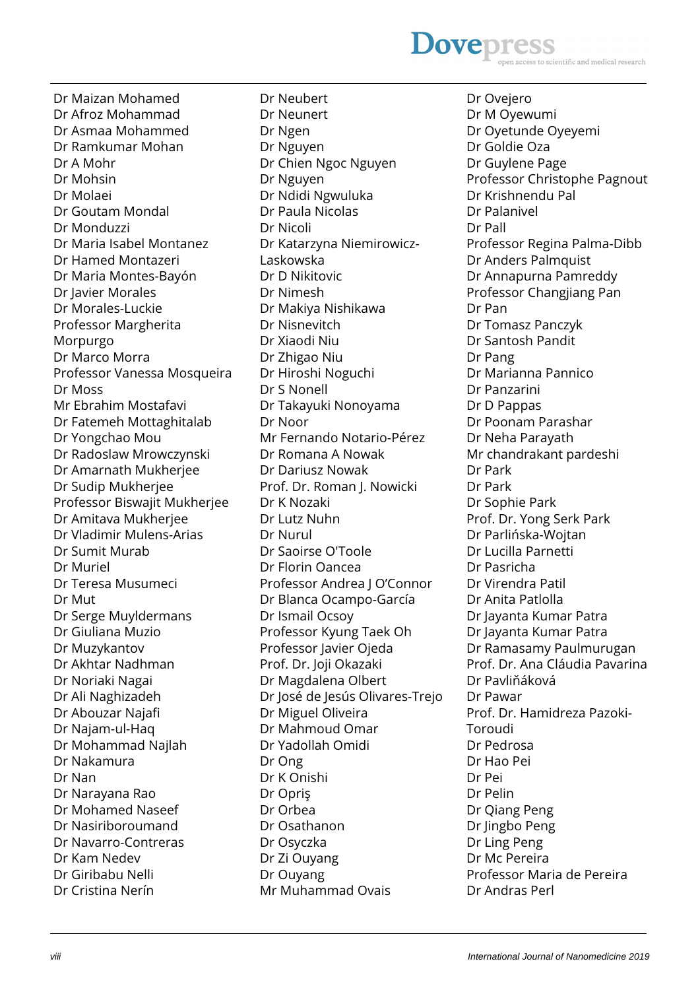### **Dovepres** scientific and medical research

Dr Maizan Mohamed Dr Afroz Mohammad Dr Asmaa Mohammed Dr Ramkumar Mohan Dr A Mohr Dr Mohsin Dr Molaei Dr Goutam Mondal Dr Monduzzi Dr Maria Isabel Montanez Dr Hamed Montazeri Dr Maria Montes-Bayón Dr Javier Morales Dr Morales-Luckie Professor Margherita Morpurgo Dr Marco Morra Professor Vanessa Mosqueira Dr Moss Mr Ebrahim Mostafavi Dr Fatemeh Mottaghitalab Dr Yongchao Mou Dr Radoslaw Mrowczynski Dr Amarnath Mukherjee Dr Sudip Mukherjee Professor Biswajit Mukherjee Dr Amitava Mukherjee Dr Vladimir Mulens-Arias Dr Sumit Murab Dr Muriel Dr Teresa Musumeci Dr Mut Dr Serge Muyldermans Dr Giuliana Muzio Dr Muzykantov Dr Akhtar Nadhman Dr Noriaki Nagai Dr Ali Naghizadeh Dr Abouzar Najafi Dr Najam-ul-Haq Dr Mohammad Najlah Dr Nakamura Dr Nan Dr Narayana Rao Dr Mohamed Naseef Dr Nasiriboroumand Dr Navarro-Contreras Dr Kam Nedev Dr Giribabu Nelli Dr Cristina Nerín

Dr Neubert Dr Neunert Dr Ngen Dr Nguyen Dr Chien Ngoc Nguyen Dr Nguyen Dr Ndidi Ngwuluka Dr Paula Nicolas Dr Nicoli Dr Katarzyna Niemirowicz-Laskowska Dr D Nikitovic Dr Nimesh Dr Makiya Nishikawa Dr Nisnevitch Dr Xiaodi Niu Dr Zhigao Niu Dr Hiroshi Noguchi Dr S Nonell Dr Takayuki Nonoyama Dr Noor Mr Fernando Notario-Pérez Dr Romana A Nowak Dr Dariusz Nowak Prof. Dr. Roman J. Nowicki Dr K Nozaki Dr Lutz Nuhn Dr Nurul Dr Saoirse O'Toole Dr Florin Oancea Professor Andrea J O'Connor Dr Blanca Ocampo-García Dr Ismail Ocsoy Professor Kyung Taek Oh Professor Javier Ojeda Prof. Dr. Joji Okazaki Dr Magdalena Olbert Dr José de Jesús Olivares-Trejo Dr Miguel Oliveira Dr Mahmoud Omar Dr Yadollah Omidi Dr Ong Dr K Onishi Dr Opriş Dr Orbea Dr Osathanon Dr Osyczka Dr Zi Ouyang Dr Ouyang Mr Muhammad Ovais

Dr Ovejero Dr M Oyewumi Dr Oyetunde Oyeyemi Dr Goldie Oza Dr Guylene Page Professor Christophe Pagnout Dr Krishnendu Pal Dr Palanivel Dr Pall Professor Regina Palma-Dibb Dr Anders Palmquist Dr Annapurna Pamreddy Professor Changjiang Pan Dr Pan Dr Tomasz Panczyk Dr Santosh Pandit Dr Pang Dr Marianna Pannico Dr Panzarini Dr D Pappas Dr Poonam Parashar Dr Neha Parayath Mr chandrakant pardeshi Dr Park Dr Park Dr Sophie Park Prof. Dr. Yong Serk Park Dr Parlińska-Wojtan Dr Lucilla Parnetti Dr Pasricha Dr Virendra Patil Dr Anita Patlolla Dr Jayanta Kumar Patra Dr Jayanta Kumar Patra Dr Ramasamy Paulmurugan Prof. Dr. Ana Cláudia Pavarina Dr Pavliňáková Dr Pawar Prof. Dr. Hamidreza Pazoki-Toroudi Dr Pedrosa Dr Hao Pei Dr Pei Dr Pelin Dr Qiang Peng Dr Jingbo Peng Dr Ling Peng Dr Mc Pereira Professor Maria de Pereira Dr Andras Perl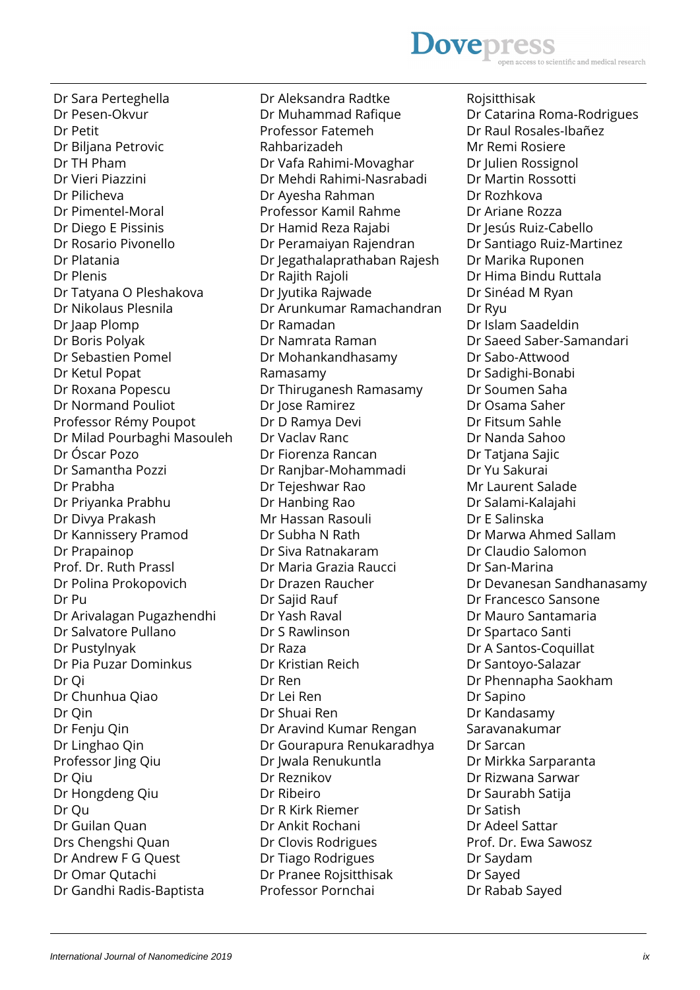# **Dovepress** ss to scientific and medical research

Dr Sara Perteghella Dr Pesen-Okvur Dr Petit Dr Biljana Petrovic Dr TH Pham Dr Vieri Piazzini Dr Pilicheva Dr Pimentel-Moral Dr Diego E Pissinis Dr Rosario Pivonello Dr Platania Dr Plenis Dr Tatyana O Pleshakova Dr Nikolaus Plesnila Dr Jaap Plomp Dr Boris Polyak Dr Sebastien Pomel Dr Ketul Popat Dr Roxana Popescu Dr Normand Pouliot Professor Rémy Poupot Dr Milad Pourbaghi Masouleh Dr Óscar Pozo Dr Samantha Pozzi Dr Prabha Dr Priyanka Prabhu Dr Divya Prakash Dr Kannissery Pramod Dr Prapainop Prof. Dr. Ruth Prassl Dr Polina Prokopovich Dr Pu Dr Arivalagan Pugazhendhi Dr Salvatore Pullano Dr Pustylnyak Dr Pia Puzar Dominkus Dr Qi Dr Chunhua Qiao Dr Qin Dr Fenju Qin Dr Linghao Qin Professor Jing Qiu Dr Qiu Dr Hongdeng Qiu Dr Qu Dr Guilan Quan Drs Chengshi Quan Dr Andrew F G Quest Dr Omar Qutachi Dr Gandhi Radis-Baptista

Dr Aleksandra Radtke Dr Muhammad Rafique Professor Fatemeh Rahbarizadeh Dr Vafa Rahimi-Movaghar Dr Mehdi Rahimi-Nasrabadi Dr Ayesha Rahman Professor Kamil Rahme Dr Hamid Reza Rajabi Dr Peramaiyan Rajendran Dr Jegathalaprathaban Rajesh Dr Rajith Rajoli Dr Jyutika Rajwade Dr Arunkumar Ramachandran Dr Ramadan Dr Namrata Raman Dr Mohankandhasamy Ramasamy Dr Thiruganesh Ramasamy Dr Jose Ramirez Dr D Ramya Devi Dr Vaclav Ranc Dr Fiorenza Rancan Dr Ranjbar-Mohammadi Dr Tejeshwar Rao Dr Hanbing Rao Mr Hassan Rasouli Dr Subha N Rath Dr Siva Ratnakaram Dr Maria Grazia Raucci Dr Drazen Raucher Dr Sajid Rauf Dr Yash Raval Dr S Rawlinson Dr Raza Dr Kristian Reich Dr Ren Dr Lei Ren Dr Shuai Ren Dr Aravind Kumar Rengan Dr Gourapura Renukaradhya Dr Jwala Renukuntla Dr Reznikov Dr Ribeiro Dr R Kirk Riemer Dr Ankit Rochani Dr Clovis Rodrigues Dr Tiago Rodrigues Dr Pranee Rojsitthisak Professor Pornchai

Rojsitthisak Dr Catarina Roma-Rodrigues Dr Raul Rosales-Ibañez Mr Remi Rosiere Dr Julien Rossignol Dr Martin Rossotti Dr Rozhkova Dr Ariane Rozza Dr Jesús Ruiz-Cabello Dr Santiago Ruiz-Martinez Dr Marika Ruponen Dr Hima Bindu Ruttala Dr Sinéad M Ryan Dr Ryu Dr Islam Saadeldin Dr Saeed Saber-Samandari Dr Sabo-Attwood Dr Sadighi-Bonabi Dr Soumen Saha Dr Osama Saher Dr Fitsum Sahle Dr Nanda Sahoo Dr Tatjana Sajic Dr Yu Sakurai Mr Laurent Salade Dr Salami-Kalajahi Dr E Salinska Dr Marwa Ahmed Sallam Dr Claudio Salomon Dr San-Marina Dr Devanesan Sandhanasamy Dr Francesco Sansone Dr Mauro Santamaria Dr Spartaco Santi Dr A Santos-Coquillat Dr Santoyo-Salazar Dr Phennapha Saokham Dr Sapino Dr Kandasamy Saravanakumar Dr Sarcan Dr Mirkka Sarparanta Dr Rizwana Sarwar Dr Saurabh Satija Dr Satish Dr Adeel Sattar Prof. Dr. Ewa Sawosz Dr Saydam Dr Sayed Dr Rabab Sayed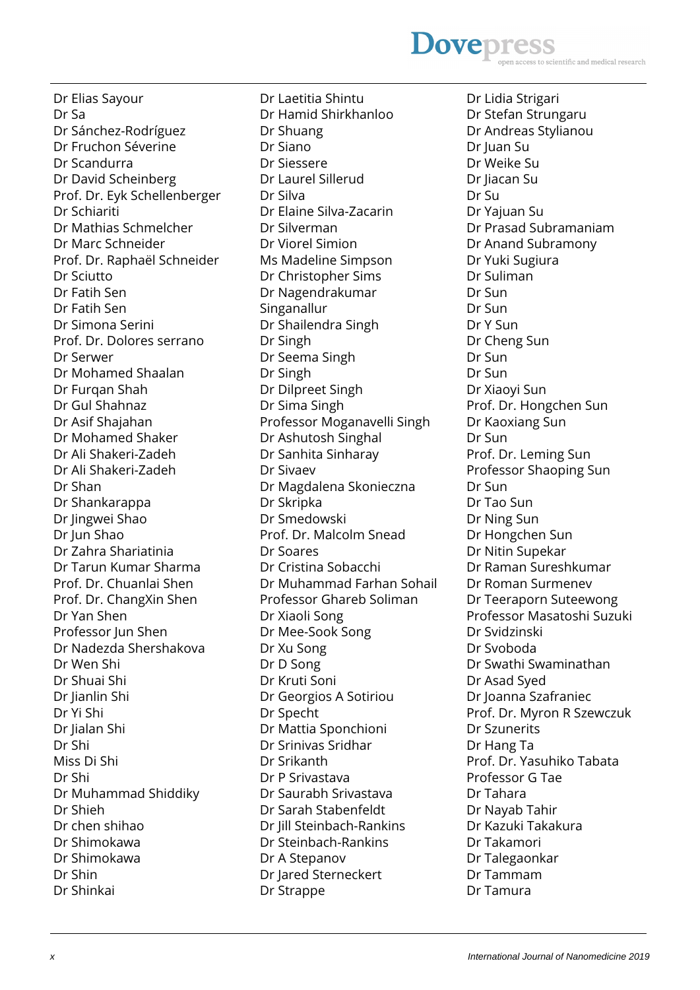# **Dovepress** s to scientific and medical research

Dr Elias Sayour Dr Sa Dr Sánchez-Rodríguez Dr Fruchon Séverine Dr Scandurra Dr David Scheinberg Prof. Dr. Eyk Schellenberger Dr Schiariti Dr Mathias Schmelcher Dr Marc Schneider Prof. Dr. Raphaël Schneider Dr Sciutto Dr Fatih Sen Dr Fatih Sen Dr Simona Serini Prof. Dr. Dolores serrano Dr Serwer Dr Mohamed Shaalan Dr Furqan Shah Dr Gul Shahnaz Dr Asif Shajahan Dr Mohamed Shaker Dr Ali Shakeri-Zadeh Dr Ali Shakeri-Zadeh Dr Shan Dr Shankarappa Dr Jingwei Shao Dr Jun Shao Dr Zahra Shariatinia Dr Tarun Kumar Sharma Prof. Dr. Chuanlai Shen Prof. Dr. ChangXin Shen Dr Yan Shen Professor Jun Shen Dr Nadezda Shershakova Dr Wen Shi Dr Shuai Shi Dr Jianlin Shi Dr Yi Shi Dr Jialan Shi Dr Shi Miss Di Shi Dr Shi Dr Muhammad Shiddiky Dr Shieh Dr chen shihao Dr Shimokawa Dr Shimokawa Dr Shin Dr Shinkai

Dr Laetitia Shintu Dr Hamid Shirkhanloo Dr Shuang Dr Siano Dr Siessere Dr Laurel Sillerud Dr Silva Dr Elaine Silva-Zacarin Dr Silverman Dr Viorel Simion Ms Madeline Simpson Dr Christopher Sims Dr Nagendrakumar Singanallur Dr Shailendra Singh Dr Singh Dr Seema Singh Dr Singh Dr Dilpreet Singh Dr Sima Singh Professor Moganavelli Singh Dr Ashutosh Singhal Dr Sanhita Sinharay Dr Sivaev Dr Magdalena Skonieczna Dr Skripka Dr Smedowski Prof. Dr. Malcolm Snead Dr Soares Dr Cristina Sobacchi Dr Muhammad Farhan Sohail Professor Ghareb Soliman Dr Xiaoli Song Dr Mee-Sook Song Dr Xu Song Dr D Song Dr Kruti Soni Dr Georgios A Sotiriou Dr Specht Dr Mattia Sponchioni Dr Srinivas Sridhar Dr Srikanth Dr P Srivastava Dr Saurabh Srivastava Dr Sarah Stabenfeldt Dr Jill Steinbach-Rankins Dr Steinbach-Rankins Dr A Stepanov Dr Jared Sterneckert Dr Strappe

Dr Lidia Strigari Dr Stefan Strungaru Dr Andreas Stylianou Dr Juan Su Dr Weike Su Dr Jiacan Su Dr Su Dr Yajuan Su Dr Prasad Subramaniam Dr Anand Subramony Dr Yuki Sugiura Dr Suliman Dr Sun Dr Sun Dr Y Sun Dr Cheng Sun Dr Sun Dr Sun Dr Xiaoyi Sun Prof. Dr. Hongchen Sun Dr Kaoxiang Sun Dr Sun Prof. Dr. Leming Sun Professor Shaoping Sun Dr Sun Dr Tao Sun Dr Ning Sun Dr Hongchen Sun Dr Nitin Supekar Dr Raman Sureshkumar Dr Roman Surmenev Dr Teeraporn Suteewong Professor Masatoshi Suzuki Dr Svidzinski Dr Svoboda Dr Swathi Swaminathan Dr Asad Syed Dr Joanna Szafraniec Prof. Dr. Myron R Szewczuk Dr Szunerits Dr Hang Ta Prof. Dr. Yasuhiko Tabata Professor G Tae Dr Tahara Dr Nayab Tahir Dr Kazuki Takakura Dr Takamori Dr Talegaonkar Dr Tammam Dr Tamura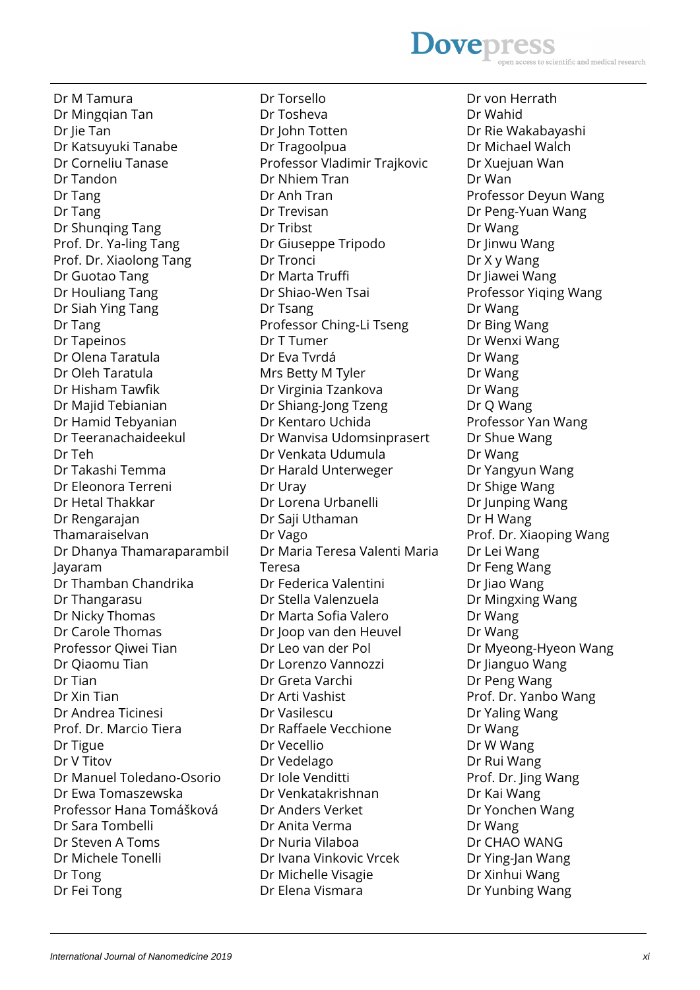#### International Journal of Nanomedicine 2019 **ximilation** and the state of the state of the state of the state of the state of the state of the state of the state of the state of the state of the state of the state of the st

Dr M Tamura Dr Mingqian Tan Dr Jie Tan Dr Katsuyuki Tanabe Dr Corneliu Tanase Dr Tandon Dr Tang Dr Tang Dr Shunqing Tang Prof. Dr. Ya-ling Tang Prof. Dr. Xiaolong Tang Dr Guotao Tang Dr Houliang Tang Dr Siah Ying Tang Dr Tang Dr Tapeinos Dr Olena Taratula Dr Oleh Taratula Dr Hisham Tawfik Dr Majid Tebianian Dr Hamid Tebyanian Dr Teeranachaideekul Dr Teh Dr Takashi Temma Dr Eleonora Terreni Dr Hetal Thakkar Dr Rengarajan Thamaraiselvan Dr Dhanya Thamaraparambil Jayaram Dr Thamban Chandrika Dr Thangarasu Dr Nicky Thomas Dr Carole Thomas Professor Qiwei Tian Dr Qiaomu Tian Dr Tian Dr Xin Tian Dr Andrea Ticinesi Prof. Dr. Marcio Tiera Dr Tigue Dr V Titov Dr Manuel Toledano-Osorio Dr Ewa Tomaszewska Professor Hana Tomášková Dr Sara Tombelli Dr Steven A Toms Dr Michele Tonelli Dr Tong Dr Fei Tong

Dr Torsello Dr Tosheva Dr John Totten Dr Tragoolpua Professor Vladimir Trajkovic Dr Nhiem Tran Dr Anh Tran Dr Trevisan Dr Tribst Dr Giuseppe Tripodo Dr Tronci Dr Marta Truffi Dr Shiao-Wen Tsai Dr Tsang Professor Ching-Li Tseng Dr T Tumer Dr Eva Tvrdá Mrs Betty M Tyler Dr Virginia Tzankova Dr Shiang-Jong Tzeng Dr Kentaro Uchida Dr Wanvisa Udomsinprasert Dr Venkata Udumula Dr Harald Unterweger Dr Uray Dr Lorena Urbanelli Dr Saji Uthaman Dr Vago Dr Maria Teresa Valenti Maria Teresa Dr Federica Valentini Dr Stella Valenzuela Dr Marta Sofia Valero Dr Joop van den Heuvel Dr Leo van der Pol Dr Lorenzo Vannozzi Dr Greta Varchi Dr Arti Vashist Dr Vasilescu Dr Raffaele Vecchione Dr Vecellio Dr Vedelago Dr Iole Venditti Dr Venkatakrishnan Dr Anders Verket Dr Anita Verma Dr Nuria Vilaboa Dr Ivana Vinkovic Vrcek Dr Michelle Visagie Dr Elena Vismara

Dr von Herrath Dr Wahid Dr Rie Wakabayashi Dr Michael Walch Dr Xuejuan Wan Dr Wan Professor Deyun Wang Dr Peng-Yuan Wang Dr Wang Dr Jinwu Wang Dr X y Wang Dr Jiawei Wang Professor Yiqing Wang Dr Wang Dr Bing Wang Dr Wenxi Wang Dr Wang Dr Wang Dr Wang Dr Q Wang Professor Yan Wang Dr Shue Wang Dr Wang Dr Yangyun Wang Dr Shige Wang Dr Junping Wang Dr H Wang Prof. Dr. Xiaoping Wang Dr Lei Wang Dr Feng Wang Dr Jiao Wang Dr Mingxing Wang Dr Wang Dr Wang Dr Myeong-Hyeon Wang Dr Jianguo Wang Dr Peng Wang Prof. Dr. Yanbo Wang Dr Yaling Wang Dr Wang Dr W Wang Dr Rui Wang Prof. Dr. Jing Wang Dr Kai Wang Dr Yonchen Wang Dr Wang Dr CHAO WANG Dr Ying-Jan Wang Dr Xinhui Wang Dr Yunbing Wang

#### **Dovepres** scientific and medical research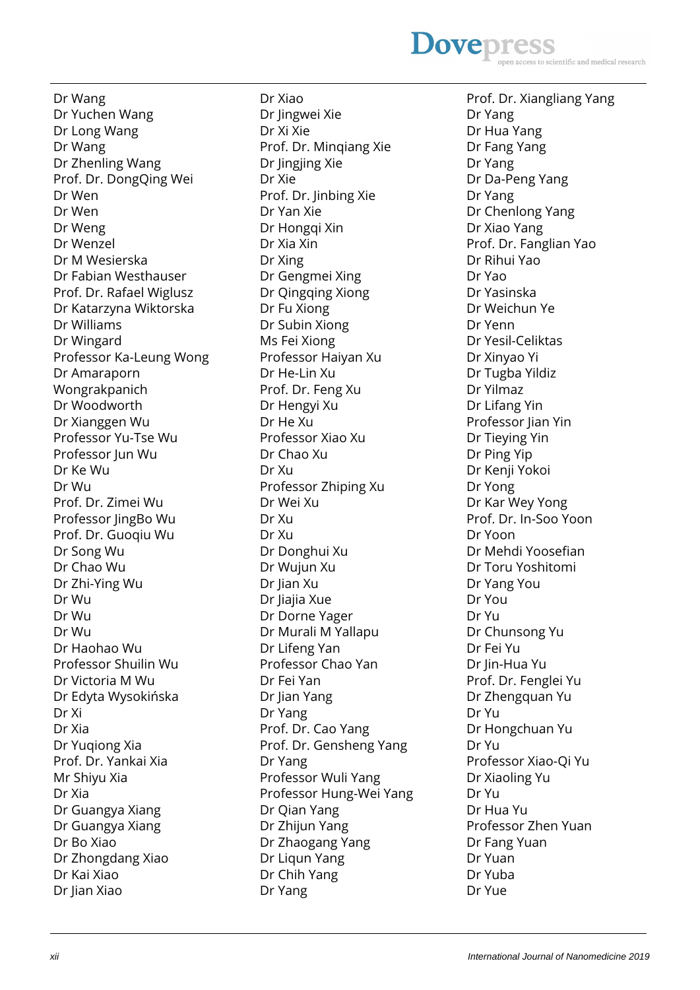### **Dovepres** ntific and medical research

Dr Wang Dr Yuchen Wang Dr Long Wang Dr Wang Dr Zhenling Wang Prof. Dr. DongQing Wei Dr Wen Dr Wen Dr Weng Dr Wenzel Dr M Wesierska Dr Fabian Westhauser Prof. Dr. Rafael Wiglusz Dr Katarzyna Wiktorska Dr Williams Dr Wingard Professor Ka-Leung Wong Dr Amaraporn Wongrakpanich Dr Woodworth Dr Xianggen Wu Professor Yu-Tse Wu Professor Iun Wu Dr Ke Wu Dr Wu Prof. Dr. Zimei Wu Professor lingBo Wu Prof. Dr. Guoqiu Wu Dr Song Wu Dr Chao Wu Dr Zhi-Ying Wu Dr Wu Dr Wu Dr Wu Dr Haohao Wu Professor Shuilin Wu Dr Victoria M Wu Dr Edyta Wysokińska Dr Xi Dr Xia Dr Yuqiong Xia Prof. Dr. Yankai Xia Mr Shiyu Xia Dr Xia Dr Guangya Xiang Dr Guangya Xiang Dr Bo Xiao Dr Zhongdang Xiao Dr Kai Xiao Dr Jian Xiao

Dr Xiao Dr Jingwei Xie Dr Xi Xie Prof. Dr. Minqiang Xie Dr Jingjing Xie Dr Xie Prof. Dr. Jinbing Xie Dr Yan Xie Dr Hongqi Xin Dr Xia Xin Dr Xing Dr Gengmei Xing Dr Qingqing Xiong Dr Fu Xiong Dr Subin Xiong Ms Fei Xiong Professor Haiyan Xu Dr He-Lin Xu Prof. Dr. Feng Xu Dr Hengyi Xu Dr He Xu Professor Xiao Xu Dr Chao Xu Dr Xu Professor Zhiping Xu Dr Wei Xu Dr Xu Dr Xu Dr Donghui Xu Dr Wujun Xu Dr Jian Xu Dr Jiajia Xue Dr Dorne Yager Dr Murali M Yallapu Dr Lifeng Yan Professor Chao Yan Dr Fei Yan Dr Jian Yang Dr Yang Prof. Dr. Cao Yang Prof. Dr. Gensheng Yang Dr Yang Professor Wuli Yang Professor Hung-Wei Yang Dr Qian Yang Dr Zhijun Yang Dr Zhaogang Yang Dr Liqun Yang Dr Chih Yang Dr Yang

Prof. Dr. Xiangliang Yang Dr Yang Dr Hua Yang Dr Fang Yang Dr Yang Dr Da-Peng Yang Dr Yang Dr Chenlong Yang Dr Xiao Yang Prof. Dr. Fanglian Yao Dr Rihui Yao Dr Yao Dr Yasinska Dr Weichun Ye Dr Yenn Dr Yesil-Celiktas Dr Xinyao Yi Dr Tugba Yildiz Dr Yilmaz Dr Lifang Yin Professor Jian Yin Dr Tieying Yin Dr Ping Yip Dr Kenji Yokoi Dr Yong Dr Kar Wey Yong Prof. Dr. In-Soo Yoon Dr Yoon Dr Mehdi Yoosefian Dr Toru Yoshitomi Dr Yang You Dr You Dr Yu Dr Chunsong Yu Dr Fei Yu Dr Jin-Hua Yu Prof. Dr. Fenglei Yu Dr Zhengquan Yu Dr Yu Dr Hongchuan Yu Dr Yu Professor Xiao-Qi Yu Dr Xiaoling Yu Dr Yu Dr Hua Yu Professor Zhen Yuan Dr Fang Yuan Dr Yuan Dr Yuba Dr Yue